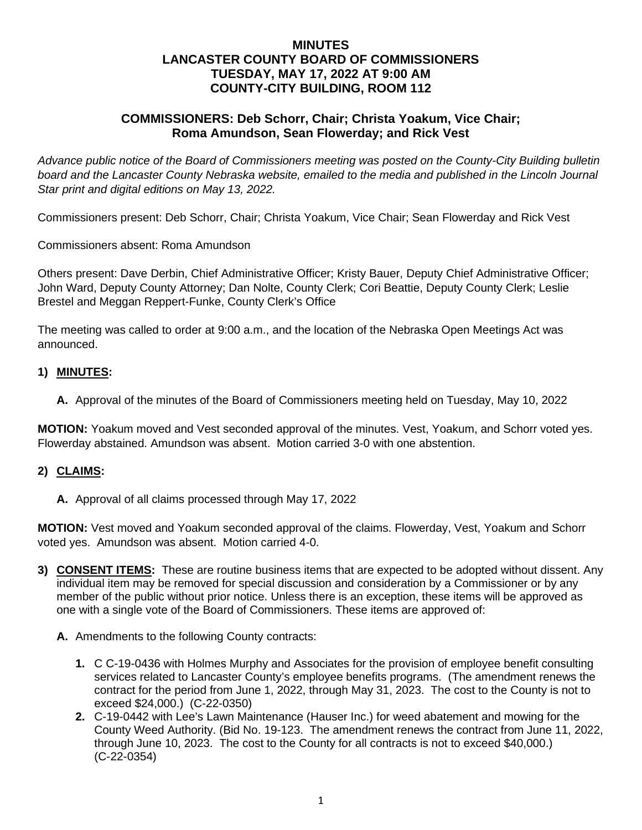## **MINUTES LANCASTER COUNTY BOARD OF COMMISSIONERS TUESDAY, MAY 17, 2022 AT 9:00 AM COUNTY-CITY BUILDING, ROOM 112**

## **COMMISSIONERS: Deb Schorr, Chair; Christa Yoakum, Vice Chair; Roma Amundson, Sean Flowerday; and Rick Vest**

*Advance public notice of the Board of Commissioners meeting was posted on the County-City Building bulletin*  board and the Lancaster County Nebraska website, emailed to the media and published in the Lincoln Journal *Star print and digital editions on May 13, 2022.*

Commissioners present: Deb Schorr, Chair; Christa Yoakum, Vice Chair; Sean Flowerday and Rick Vest

Commissioners absent: Roma Amundson

Others present: Dave Derbin, Chief Administrative Officer; Kristy Bauer, Deputy Chief Administrative Officer; John Ward, Deputy County Attorney; Dan Nolte, County Clerk; Cori Beattie, Deputy County Clerk; Leslie Brestel and Meggan Reppert-Funke, County Clerk's Office

The meeting was called to order at 9:00 a.m., and the location of the Nebraska Open Meetings Act was announced.

#### **1) MINUTES:**

**A.** Approval of the minutes of the Board of Commissioners meeting held on Tuesday, May 10, 2022

**MOTION:** Yoakum moved and Vest seconded approval of the minutes. Vest, Yoakum, and Schorr voted yes. Flowerday abstained. Amundson was absent. Motion carried 3-0 with one abstention.

#### **2) CLAIMS:**

**A.** Approval of all claims processed through May 17, 2022

**MOTION:** Vest moved and Yoakum seconded approval of the claims. Flowerday, Vest, Yoakum and Schorr voted yes. Amundson was absent. Motion carried 4-0.

- **3) CONSENT ITEMS:** These are routine business items that are expected to be adopted without dissent. Any individual item may be removed for special discussion and consideration by a Commissioner or by any member of the public without prior notice. Unless there is an exception, these items will be approved as one with a single vote of the Board of Commissioners. These items are approved of:
	- **A.** Amendments to the following County contracts:
		- **1.** C C-19-0436 with Holmes Murphy and Associates for the provision of employee benefit consulting services related to Lancaster County's employee benefits programs. (The amendment renews the contract for the period from June 1, 2022, through May 31, 2023. The cost to the County is not to exceed \$24,000.) (C-22-0350)
		- **2.** C-19-0442 with Lee's Lawn Maintenance (Hauser Inc.) for weed abatement and mowing for the County Weed Authority. (Bid No. 19-123. The amendment renews the contract from June 11, 2022, through June 10, 2023. The cost to the County for all contracts is not to exceed \$40,000.) (C-22-0354)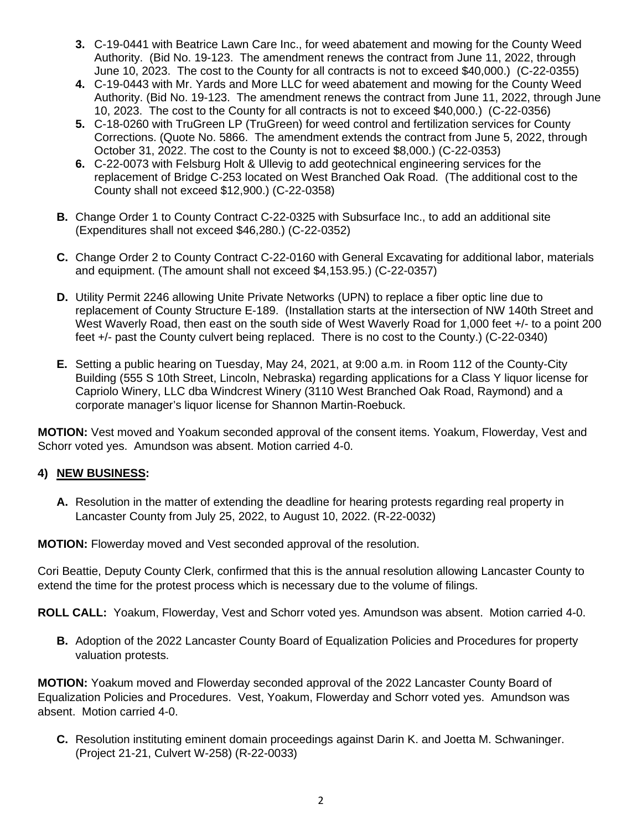- **3.** C-19-0441 with Beatrice Lawn Care Inc., for weed abatement and mowing for the County Weed Authority. (Bid No. 19-123. The amendment renews the contract from June 11, 2022, through June 10, 2023. The cost to the County for all contracts is not to exceed \$40,000.) (C-22-0355)
- **4.** C-19-0443 with Mr. Yards and More LLC for weed abatement and mowing for the County Weed Authority. (Bid No. 19-123. The amendment renews the contract from June 11, 2022, through June 10, 2023. The cost to the County for all contracts is not to exceed \$40,000.) (C-22-0356)
- **5.** C-18-0260 with TruGreen LP (TruGreen) for weed control and fertilization services for County Corrections. (Quote No. 5866. The amendment extends the contract from June 5, 2022, through October 31, 2022. The cost to the County is not to exceed \$8,000.) (C-22-0353)
- **6.** C-22-0073 with Felsburg Holt & Ullevig to add geotechnical engineering services for the replacement of Bridge C-253 located on West Branched Oak Road. (The additional cost to the County shall not exceed \$12,900.) (C-22-0358)
- **B.** Change Order 1 to County Contract C-22-0325 with Subsurface Inc., to add an additional site (Expenditures shall not exceed \$46,280.) (C-22-0352)
- **C.** Change Order 2 to County Contract C-22-0160 with General Excavating for additional labor, materials and equipment. (The amount shall not exceed \$4,153.95.) (C-22-0357)
- **D.** Utility Permit 2246 allowing Unite Private Networks (UPN) to replace a fiber optic line due to replacement of County Structure E-189. (Installation starts at the intersection of NW 140th Street and West Waverly Road, then east on the south side of West Waverly Road for 1,000 feet +/- to a point 200 feet +/- past the County culvert being replaced. There is no cost to the County.) (C-22-0340)
- **E.** Setting a public hearing on Tuesday, May 24, 2021, at 9:00 a.m. in Room 112 of the County-City Building (555 S 10th Street, Lincoln, Nebraska) regarding applications for a Class Y liquor license for Capriolo Winery, LLC dba Windcrest Winery (3110 West Branched Oak Road, Raymond) and a corporate manager's liquor license for Shannon Martin-Roebuck.

**MOTION:** Vest moved and Yoakum seconded approval of the consent items. Yoakum, Flowerday, Vest and Schorr voted yes. Amundson was absent. Motion carried 4-0.

# **4) NEW BUSINESS:**

**A.** Resolution in the matter of extending the deadline for hearing protests regarding real property in Lancaster County from July 25, 2022, to August 10, 2022. (R-22-0032)

**MOTION:** Flowerday moved and Vest seconded approval of the resolution.

Cori Beattie, Deputy County Clerk, confirmed that this is the annual resolution allowing Lancaster County to extend the time for the protest process which is necessary due to the volume of filings.

**ROLL CALL:** Yoakum, Flowerday, Vest and Schorr voted yes. Amundson was absent. Motion carried 4-0.

**B.** Adoption of the 2022 Lancaster County Board of Equalization Policies and Procedures for property valuation protests.

**MOTION:** Yoakum moved and Flowerday seconded approval of the 2022 Lancaster County Board of Equalization Policies and Procedures. Vest, Yoakum, Flowerday and Schorr voted yes. Amundson was absent. Motion carried 4-0.

**C.** Resolution instituting eminent domain proceedings against Darin K. and Joetta M. Schwaninger. (Project 21-21, Culvert W-258) (R-22-0033)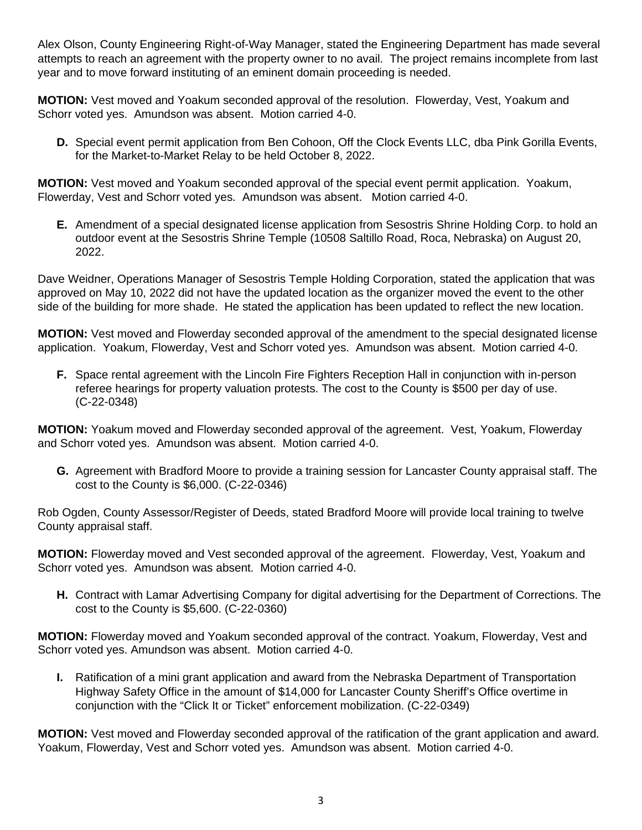Alex Olson, County Engineering Right-of-Way Manager, stated the Engineering Department has made several attempts to reach an agreement with the property owner to no avail. The project remains incomplete from last year and to move forward instituting of an eminent domain proceeding is needed.

**MOTION:** Vest moved and Yoakum seconded approval of the resolution. Flowerday, Vest, Yoakum and Schorr voted yes. Amundson was absent. Motion carried 4-0.

**D.** Special event permit application from Ben Cohoon, Off the Clock Events LLC, dba Pink Gorilla Events, for the Market-to-Market Relay to be held October 8, 2022.

**MOTION:** Vest moved and Yoakum seconded approval of the special event permit application. Yoakum, Flowerday, Vest and Schorr voted yes. Amundson was absent. Motion carried 4-0.

**E.** Amendment of a special designated license application from Sesostris Shrine Holding Corp. to hold an outdoor event at the Sesostris Shrine Temple (10508 Saltillo Road, Roca, Nebraska) on August 20, 2022.

Dave Weidner, Operations Manager of Sesostris Temple Holding Corporation, stated the application that was approved on May 10, 2022 did not have the updated location as the organizer moved the event to the other side of the building for more shade. He stated the application has been updated to reflect the new location.

**MOTION:** Vest moved and Flowerday seconded approval of the amendment to the special designated license application. Yoakum, Flowerday, Vest and Schorr voted yes. Amundson was absent. Motion carried 4-0.

**F.** Space rental agreement with the Lincoln Fire Fighters Reception Hall in conjunction with in-person referee hearings for property valuation protests. The cost to the County is \$500 per day of use. (C-22-0348)

**MOTION:** Yoakum moved and Flowerday seconded approval of the agreement. Vest, Yoakum, Flowerday and Schorr voted yes. Amundson was absent. Motion carried 4-0.

**G.** Agreement with Bradford Moore to provide a training session for Lancaster County appraisal staff. The cost to the County is \$6,000. (C-22-0346)

Rob Ogden, County Assessor/Register of Deeds, stated Bradford Moore will provide local training to twelve County appraisal staff.

**MOTION:** Flowerday moved and Vest seconded approval of the agreement. Flowerday, Vest, Yoakum and Schorr voted yes. Amundson was absent. Motion carried 4-0.

**H.** Contract with Lamar Advertising Company for digital advertising for the Department of Corrections. The cost to the County is \$5,600. (C-22-0360)

**MOTION:** Flowerday moved and Yoakum seconded approval of the contract. Yoakum, Flowerday, Vest and Schorr voted yes. Amundson was absent. Motion carried 4-0.

**I.** Ratification of a mini grant application and award from the Nebraska Department of Transportation Highway Safety Office in the amount of \$14,000 for Lancaster County Sheriff's Office overtime in conjunction with the "Click It or Ticket" enforcement mobilization. (C-22-0349)

**MOTION:** Vest moved and Flowerday seconded approval of the ratification of the grant application and award. Yoakum, Flowerday, Vest and Schorr voted yes. Amundson was absent. Motion carried 4-0.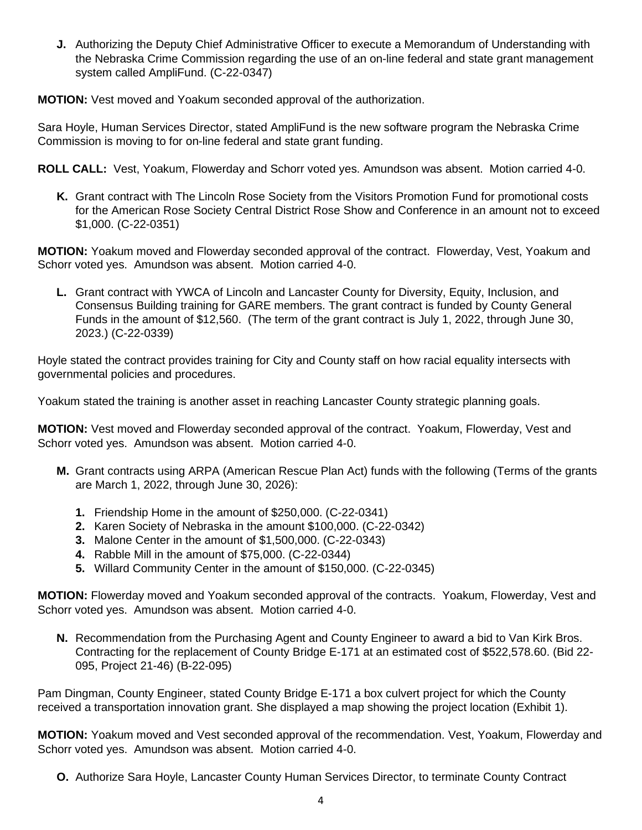**J.** Authorizing the Deputy Chief Administrative Officer to execute a Memorandum of Understanding with the Nebraska Crime Commission regarding the use of an on-line federal and state grant management system called AmpliFund. (C-22-0347)

**MOTION:** Vest moved and Yoakum seconded approval of the authorization.

Sara Hoyle, Human Services Director, stated AmpliFund is the new software program the Nebraska Crime Commission is moving to for on-line federal and state grant funding.

**ROLL CALL:** Vest, Yoakum, Flowerday and Schorr voted yes. Amundson was absent. Motion carried 4-0.

**K.** Grant contract with The Lincoln Rose Society from the Visitors Promotion Fund for promotional costs for the American Rose Society Central District Rose Show and Conference in an amount not to exceed \$1,000. (C-22-0351)

**MOTION:** Yoakum moved and Flowerday seconded approval of the contract. Flowerday, Vest, Yoakum and Schorr voted yes. Amundson was absent. Motion carried 4-0.

**L.** Grant contract with YWCA of Lincoln and Lancaster County for Diversity, Equity, Inclusion, and Consensus Building training for GARE members. The grant contract is funded by County General Funds in the amount of \$12,560. (The term of the grant contract is July 1, 2022, through June 30, 2023.) (C-22-0339)

Hoyle stated the contract provides training for City and County staff on how racial equality intersects with governmental policies and procedures.

Yoakum stated the training is another asset in reaching Lancaster County strategic planning goals.

**MOTION:** Vest moved and Flowerday seconded approval of the contract. Yoakum, Flowerday, Vest and Schorr voted yes. Amundson was absent. Motion carried 4-0.

- **M.** Grant contracts using ARPA (American Rescue Plan Act) funds with the following (Terms of the grants are March 1, 2022, through June 30, 2026):
	- **1.** Friendship Home in the amount of \$250,000. (C-22-0341)
	- **2.** Karen Society of Nebraska in the amount \$100,000. (C-22-0342)
	- **3.** Malone Center in the amount of \$1,500,000. (C-22-0343)
	- **4.** Rabble Mill in the amount of \$75,000. (C-22-0344)
	- **5.** Willard Community Center in the amount of \$150,000. (C-22-0345)

**MOTION:** Flowerday moved and Yoakum seconded approval of the contracts. Yoakum, Flowerday, Vest and Schorr voted yes. Amundson was absent. Motion carried 4-0.

**N.** Recommendation from the Purchasing Agent and County Engineer to award a bid to Van Kirk Bros. Contracting for the replacement of County Bridge E-171 at an estimated cost of \$522,578.60. (Bid 22- 095, Project 21-46) (B-22-095)

Pam Dingman, County Engineer, stated County Bridge E-171 a box culvert project for which the County received a transportation innovation grant. She displayed a map showing the project location (Exhibit 1).

**MOTION:** Yoakum moved and Vest seconded approval of the recommendation. Vest, Yoakum, Flowerday and Schorr voted yes. Amundson was absent. Motion carried 4-0.

**O.** Authorize Sara Hoyle, Lancaster County Human Services Director, to terminate County Contract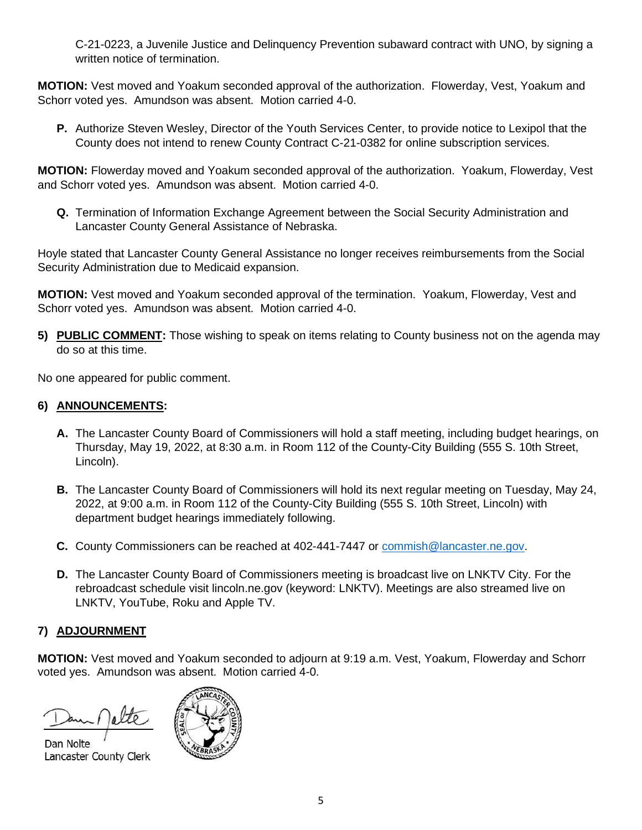C-21-0223, a Juvenile Justice and Delinquency Prevention subaward contract with UNO, by signing a written notice of termination.

**MOTION:** Vest moved and Yoakum seconded approval of the authorization. Flowerday, Vest, Yoakum and Schorr voted yes. Amundson was absent. Motion carried 4-0.

**P.** Authorize Steven Wesley, Director of the Youth Services Center, to provide notice to Lexipol that the County does not intend to renew County Contract C-21-0382 for online subscription services.

**MOTION:** Flowerday moved and Yoakum seconded approval of the authorization. Yoakum, Flowerday, Vest and Schorr voted yes. Amundson was absent. Motion carried 4-0.

**Q.** Termination of Information Exchange Agreement between the Social Security Administration and Lancaster County General Assistance of Nebraska.

Hoyle stated that Lancaster County General Assistance no longer receives reimbursements from the Social Security Administration due to Medicaid expansion.

**MOTION:** Vest moved and Yoakum seconded approval of the termination. Yoakum, Flowerday, Vest and Schorr voted yes. Amundson was absent. Motion carried 4-0.

**5) PUBLIC COMMENT:** Those wishing to speak on items relating to County business not on the agenda may do so at this time.

No one appeared for public comment.

# **6) ANNOUNCEMENTS:**

- **A.** The Lancaster County Board of Commissioners will hold a staff meeting, including budget hearings, on Thursday, May 19, 2022, at 8:30 a.m. in Room 112 of the County-City Building (555 S. 10th Street, Lincoln).
- **B.** The Lancaster County Board of Commissioners will hold its next regular meeting on Tuesday, May 24, 2022, at 9:00 a.m. in Room 112 of the County-City Building (555 S. 10th Street, Lincoln) with department budget hearings immediately following.
- **C.** County Commissioners can be reached at 402-441-7447 or [commish@lancaster.ne.gov.](mailto:commish@lancaster.ne.gov)
- **D.** The Lancaster County Board of Commissioners meeting is broadcast live on LNKTV City. For the rebroadcast schedule visit lincoln.ne.gov (keyword: LNKTV). Meetings are also streamed live on LNKTV, YouTube, Roku and Apple TV.

# **7) ADJOURNMENT**

**MOTION:** Vest moved and Yoakum seconded to adjourn at 9:19 a.m. Vest, Yoakum, Flowerday and Schorr voted yes. Amundson was absent. Motion carried 4-0.

Dan Nolte Lancaster County Clerk